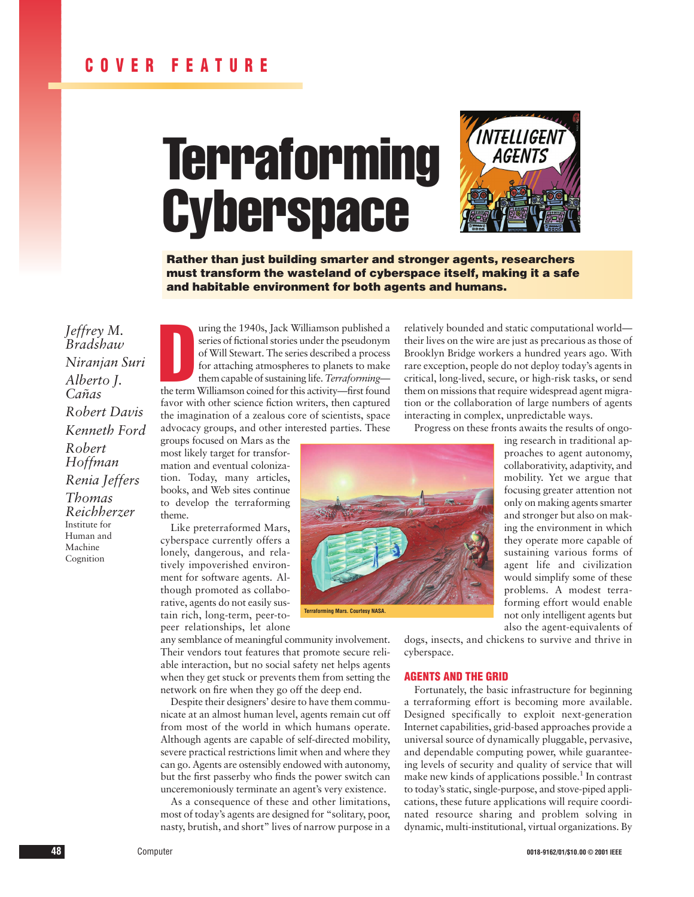# **Terraforming Cyberspace**



**Rather than just building smarter and stronger agents, researchers must transform the wasteland of cyberspace itself, making it a safe and habitable environment for both agents and humans.**

*Jeffrey M. Bradshaw Niranjan Suri Alberto J. Cañas Robert Davis Kenneth Ford Robert Hoffman Renia Jeffers Thomas Reichherzer* Institute for Human and Machine Cognition

uring the 1940s, Jack Williamson published a<br>series of fictional stories under the pseudonym<br>of Will Stewart. The series described a process<br>for attaching atmospheres to planets to make<br>them capable of sustaining life. *Te* uring the 1940s, Jack Williamson published a series of fictional stories under the pseudonym of Will Stewart. The series described a process for attaching atmospheres to planets to make them capable of sustaining life. *Terraforming* favor with other science fiction writers, then captured the imagination of a zealous core of scientists, space advocacy groups, and other interested parties. These

groups focused on Mars as the most likely target for transformation and eventual colonization. Today, many articles, books, and Web sites continue to develop the terraforming theme.

Like preterraformed Mars, cyberspace currently offers a lonely, dangerous, and relatively impoverished environment for software agents. Although promoted as collaborative, agents do not easily sustain rich, long-term, peer-topeer relationships, let alone

any semblance of meaningful community involvement. Their vendors tout features that promote secure reliable interaction, but no social safety net helps agents when they get stuck or prevents them from setting the network on fire when they go off the deep end.

Despite their designers' desire to have them communicate at an almost human level, agents remain cut off from most of the world in which humans operate. Although agents are capable of self-directed mobility, severe practical restrictions limit when and where they can go. Agents are ostensibly endowed with autonomy, but the first passerby who finds the power switch can unceremoniously terminate an agent's very existence.

As a consequence of these and other limitations, most of today's agents are designed for "solitary, poor, nasty, brutish, and short" lives of narrow purpose in a relatively bounded and static computational world their lives on the wire are just as precarious as those of Brooklyn Bridge workers a hundred years ago. With rare exception, people do not deploy today's agents in critical, long-lived, secure, or high-risk tasks, or send them on missions that require widespread agent migration or the collaboration of large numbers of agents interacting in complex, unpredictable ways.

Progress on these fronts awaits the results of ongo-



ing research in traditional approaches to agent autonomy, collaborativity, adaptivity, and mobility. Yet we argue that focusing greater attention not only on making agents smarter and stronger but also on making the environment in which they operate more capable of sustaining various forms of agent life and civilization would simplify some of these problems. A modest terraforming effort would enable not only intelligent agents but also the agent-equivalents of

dogs, insects, and chickens to survive and thrive in cyberspace.

# **AGENTS AND THE GRID**

Fortunately, the basic infrastructure for beginning a terraforming effort is becoming more available. Designed specifically to exploit next-generation Internet capabilities, grid-based approaches provide a universal source of dynamically pluggable, pervasive, and dependable computing power, while guaranteeing levels of security and quality of service that will make new kinds of applications possible.<sup>1</sup> In contrast to today's static, single-purpose, and stove-piped applications, these future applications will require coordinated resource sharing and problem solving in dynamic, multi-institutional, virtual organizations. By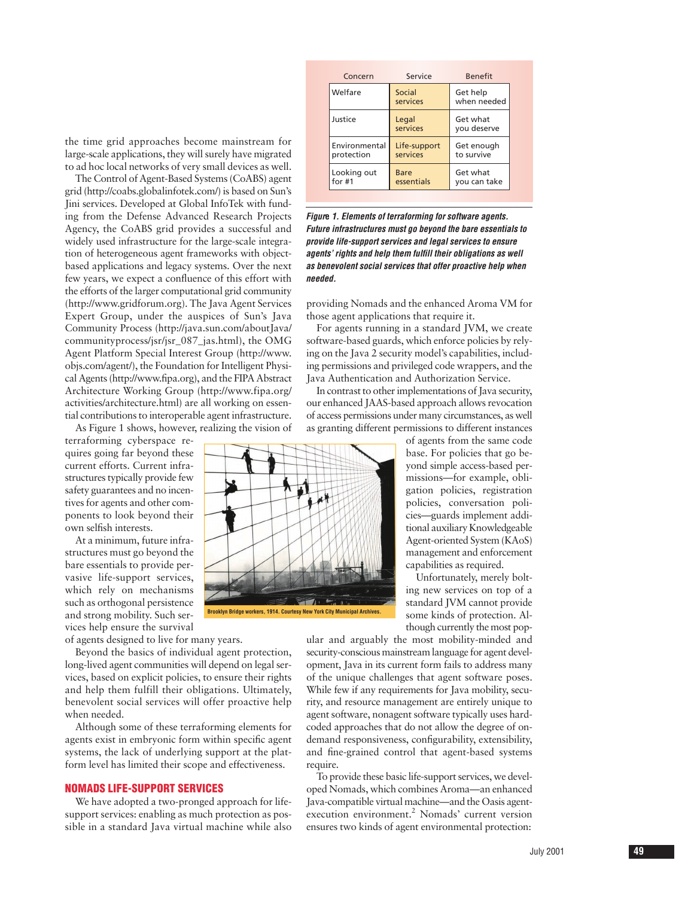the time grid approaches become mainstream for large-scale applications, they will surely have migrated to ad hoc local networks of very small devices as well.

The Control of Agent-Based Systems (CoABS) agent grid (http://coabs.globalinfotek.com/) is based on Sun's Jini services. Developed at Global InfoTek with funding from the Defense Advanced Research Projects Agency, the CoABS grid provides a successful and widely used infrastructure for the large-scale integration of heterogeneous agent frameworks with objectbased applications and legacy systems. Over the next few years, we expect a confluence of this effort with the efforts of the larger computational grid community (http://www.gridforum.org). The Java Agent Services Expert Group, under the auspices of Sun's Java Community Process (http://java.sun.com/aboutJava/ communityprocess/jsr/jsr\_087\_jas.html), the OMG Agent Platform Special Interest Group (http://www. objs.com/agent/), the Foundation for Intelligent Physical Agents (http://www.fipa.org), and the FIPA Abstract Architecture Working Group (http://www.fipa.org/ activities/architecture.html) are all working on essential contributions to interoperable agent infrastructure.

As Figure 1 shows, however, realizing the vision of

terraforming cyberspace requires going far beyond these current efforts. Current infrastructures typically provide few safety guarantees and no incentives for agents and other components to look beyond their own selfish interests.

At a minimum, future infrastructures must go beyond the bare essentials to provide pervasive life-support services, which rely on mechanisms such as orthogonal persistence and strong mobility. Such services help ensure the survival

of agents designed to live for many years.

Beyond the basics of individual agent protection, long-lived agent communities will depend on legal services, based on explicit policies, to ensure their rights and help them fulfill their obligations. Ultimately, benevolent social services will offer proactive help when needed.

Although some of these terraforming elements for agents exist in embryonic form within specific agent systems, the lack of underlying support at the platform level has limited their scope and effectiveness.

#### **NOMADS LIFE-SUPPORT SERVICES**

We have adopted a two-pronged approach for lifesupport services: enabling as much protection as possible in a standard Java virtual machine while also

| Concern                     | Service                  | <b>Benefit</b>           |
|-----------------------------|--------------------------|--------------------------|
| Welfare                     | Social<br>services       | Get help<br>when needed  |
| Justice                     | Legal<br>services        | Get what<br>you deserve  |
| Environmental<br>protection | Life-support<br>services | Get enough<br>to survive |
| Looking out<br>for $#1$     | Bare<br>essentials       | Get what<br>you can take |

*Figur***e** *1. Elements of terraforming for software agents. Future infrastructures must go beyond the bare essentials to provide life-support services and legal services to ensure agents' rights and help them fulfill their obligations as well as benevolent social services that offer proactive help when needed.*

providing Nomads and the enhanced Aroma VM for those agent applications that require it.

For agents running in a standard JVM, we create software-based guards, which enforce policies by relying on the Java 2 security model's capabilities, including permissions and privileged code wrappers, and the Java Authentication and Authorization Service.

In contrast to other implementations of Java security, our enhanced JAAS-based approach allows revocation of access permissions under many circumstances, as well as granting different permissions to different instances



of agents from the same code base. For policies that go beyond simple access-based permissions—for example, obligation policies, registration policies, conversation policies—guards implement additional auxiliary Knowledgeable Agent-oriented System (KAoS) management and enforcement capabilities as required.

Unfortunately, merely bolting new services on top of a standard JVM cannot provide some kinds of protection. Although currently the most pop-

ular and arguably the most mobility-minded and security-conscious mainstream language for agent development, Java in its current form fails to address many of the unique challenges that agent software poses. While few if any requirements for Java mobility, security, and resource management are entirely unique to agent software, nonagent software typically uses hardcoded approaches that do not allow the degree of ondemand responsiveness, configurability, extensibility, and fine-grained control that agent-based systems require.

To provide these basic life-support services, we developed Nomads, which combines Aroma—an enhanced Java-compatible virtual machine—and the Oasis agentexecution environment.<sup>2</sup> Nomads' current version ensures two kinds of agent environmental protection: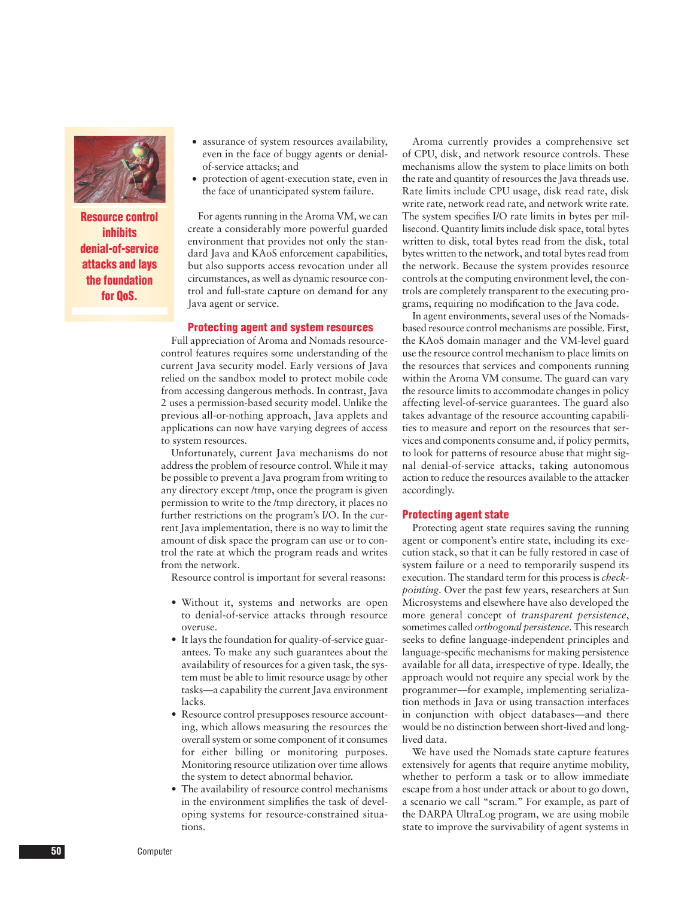

**Resource control inhibits denial-of-service attacks and lays the foundation for QoS.**

- assurance of system resources availability, even in the face of buggy agents or denialof-service attacks; and
- protection of agent-execution state, even in the face of unanticipated system failure.

For agents running in the Aroma VM, we can create a considerably more powerful guarded environment that provides not only the standard Java and KAoS enforcement capabilities, but also supports access revocation under all circumstances, as well as dynamic resource control and full-state capture on demand for any Java agent or service.

#### **Protecting agent and system resources**

Full appreciation of Aroma and Nomads resourcecontrol features requires some understanding of the current Java security model. Early versions of Java relied on the sandbox model to protect mobile code from accessing dangerous methods. In contrast, Java 2 uses a permission-based security model. Unlike the previous all-or-nothing approach, Java applets and applications can now have varying degrees of access to system resources.

Unfortunately, current Java mechanisms do not address the problem of resource control. While it may be possible to prevent a Java program from writing to any directory except /tmp, once the program is given permission to write to the /tmp directory, it places no further restrictions on the program's I/O. In the current Java implementation, there is no way to limit the amount of disk space the program can use or to control the rate at which the program reads and writes from the network.

Resource control is important for several reasons:

- Without it, systems and networks are open to denial-of-service attacks through resource overuse.
- It lays the foundation for quality-of-service guarantees. To make any such guarantees about the availability of resources for a given task, the system must be able to limit resource usage by other tasks—a capability the current Java environment lacks.
- Resource control presupposes resource accounting, which allows measuring the resources the overall system or some component of it consumes for either billing or monitoring purposes. Monitoring resource utilization over time allows the system to detect abnormal behavior.
- The availability of resource control mechanisms in the environment simplifies the task of developing systems for resource-constrained situations.

Aroma currently provides a comprehensive set of CPU, disk, and network resource controls. These mechanisms allow the system to place limits on both the rate and quantity of resources the Java threads use. Rate limits include CPU usage, disk read rate, disk write rate, network read rate, and network write rate. The system specifies I/O rate limits in bytes per millisecond. Quantity limits include disk space, total bytes written to disk, total bytes read from the disk, total bytes written to the network, and total bytes read from the network. Because the system provides resource controls at the computing environment level, the controls are completely transparent to the executing programs, requiring no modification to the Java code.

In agent environments, several uses of the Nomadsbased resource control mechanisms are possible. First, the KAoS domain manager and the VM-level guard use the resource control mechanism to place limits on the resources that services and components running within the Aroma VM consume. The guard can vary the resource limits to accommodate changes in policy affecting level-of-service guarantees. The guard also takes advantage of the resource accounting capabilities to measure and report on the resources that services and components consume and, if policy permits, to look for patterns of resource abuse that might signal denial-of-service attacks, taking autonomous action to reduce the resources available to the attacker accordingly.

## **Protecting agent state**

Protecting agent state requires saving the running agent or component's entire state, including its execution stack, so that it can be fully restored in case of system failure or a need to temporarily suspend its execution. The standard term for this process is *checkpointing*. Over the past few years, researchers at Sun Microsystems and elsewhere have also developed the more general concept of *transparent persistence*, sometimes called *orthogonal persistence*. This research seeks to define language-independent principles and language-specific mechanisms for making persistence available for all data, irrespective of type. Ideally, the approach would not require any special work by the programmer—for example, implementing serialization methods in Java or using transaction interfaces in conjunction with object databases—and there would be no distinction between short-lived and longlived data.

We have used the Nomads state capture features extensively for agents that require anytime mobility, whether to perform a task or to allow immediate escape from a host under attack or about to go down, a scenario we call "scram." For example, as part of the DARPA UltraLog program, we are using mobile state to improve the survivability of agent systems in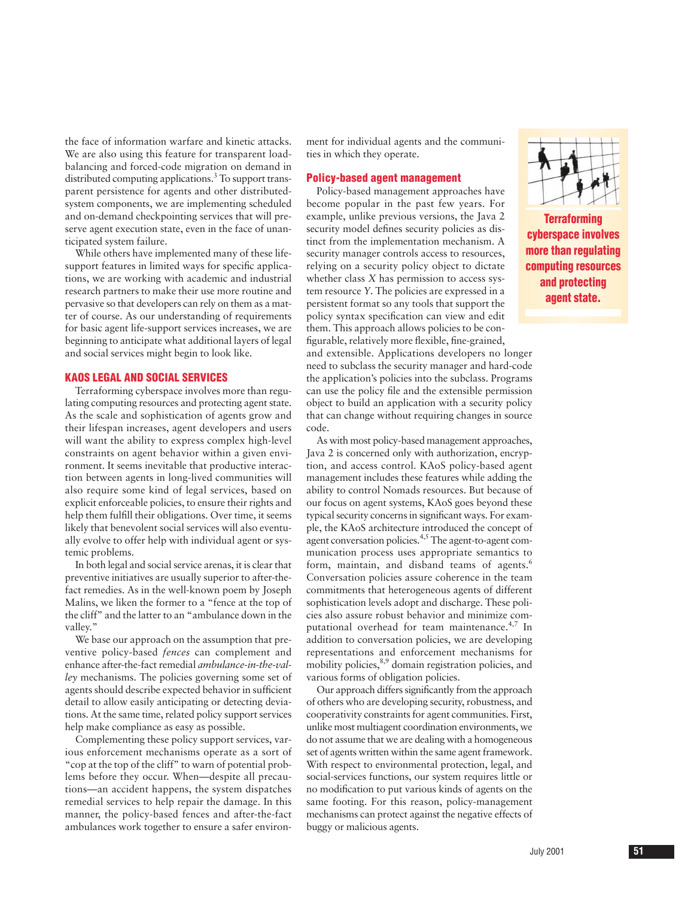the face of information warfare and kinetic attacks. We are also using this feature for transparent loadbalancing and forced-code migration on demand in distributed computing applications.<sup>3</sup> To support transparent persistence for agents and other distributedsystem components, we are implementing scheduled and on-demand checkpointing services that will preserve agent execution state, even in the face of unanticipated system failure.

While others have implemented many of these lifesupport features in limited ways for specific applications, we are working with academic and industrial research partners to make their use more routine and pervasive so that developers can rely on them as a matter of course. As our understanding of requirements for basic agent life-support services increases, we are beginning to anticipate what additional layers of legal and social services might begin to look like.

# **KAOS LEGAL AND SOCIAL SERVICES**

Terraforming cyberspace involves more than regulating computing resources and protecting agent state. As the scale and sophistication of agents grow and their lifespan increases, agent developers and users will want the ability to express complex high-level constraints on agent behavior within a given environment. It seems inevitable that productive interaction between agents in long-lived communities will also require some kind of legal services, based on explicit enforceable policies, to ensure their rights and help them fulfill their obligations. Over time, it seems likely that benevolent social services will also eventually evolve to offer help with individual agent or systemic problems.

In both legal and social service arenas, it is clear that preventive initiatives are usually superior to after-thefact remedies. As in the well-known poem by Joseph Malins, we liken the former to a "fence at the top of the cliff" and the latter to an "ambulance down in the valley."

We base our approach on the assumption that preventive policy-based *fences* can complement and enhance after-the-fact remedial *ambulance-in-the-valley* mechanisms. The policies governing some set of agents should describe expected behavior in sufficient detail to allow easily anticipating or detecting deviations. At the same time, related policy support services help make compliance as easy as possible.

Complementing these policy support services, various enforcement mechanisms operate as a sort of "cop at the top of the cliff" to warn of potential problems before they occur. When—despite all precautions—an accident happens, the system dispatches remedial services to help repair the damage. In this manner, the policy-based fences and after-the-fact ambulances work together to ensure a safer environment for individual agents and the communities in which they operate.

### **Policy-based agent management**

Policy-based management approaches have become popular in the past few years. For example, unlike previous versions, the Java 2 security model defines security policies as distinct from the implementation mechanism. A security manager controls access to resources, relying on a security policy object to dictate whether class *X* has permission to access system resource *Y*. The policies are expressed in a persistent format so any tools that support the policy syntax specification can view and edit them. This approach allows policies to be configurable, relatively more flexible, fine-grained,

and extensible. Applications developers no longer need to subclass the security manager and hard-code the application's policies into the subclass. Programs can use the policy file and the extensible permission object to build an application with a security policy that can change without requiring changes in source code.

As with most policy-based management approaches, Java 2 is concerned only with authorization, encryption, and access control. KAoS policy-based agent management includes these features while adding the ability to control Nomads resources. But because of our focus on agent systems, KAoS goes beyond these typical security concerns in significant ways. For example, the KAoS architecture introduced the concept of agent conversation policies.<sup>4,5</sup> The agent-to-agent communication process uses appropriate semantics to form, maintain, and disband teams of agents.<sup>6</sup> Conversation policies assure coherence in the team commitments that heterogeneous agents of different sophistication levels adopt and discharge. These policies also assure robust behavior and minimize computational overhead for team maintenance.<sup>4,7</sup> In addition to conversation policies, we are developing representations and enforcement mechanisms for mobility policies,<sup>8,9</sup> domain registration policies, and various forms of obligation policies.

Our approach differs significantly from the approach of others who are developing security, robustness, and cooperativity constraints for agent communities. First, unlike most multiagent coordination environments, we do not assume that we are dealing with a homogeneous set of agents written within the same agent framework. With respect to environmental protection, legal, and social-services functions, our system requires little or no modification to put various kinds of agents on the same footing. For this reason, policy-management mechanisms can protect against the negative effects of buggy or malicious agents.



**Terraforming cyberspace involves more than regulating computing resources and protecting agent state.**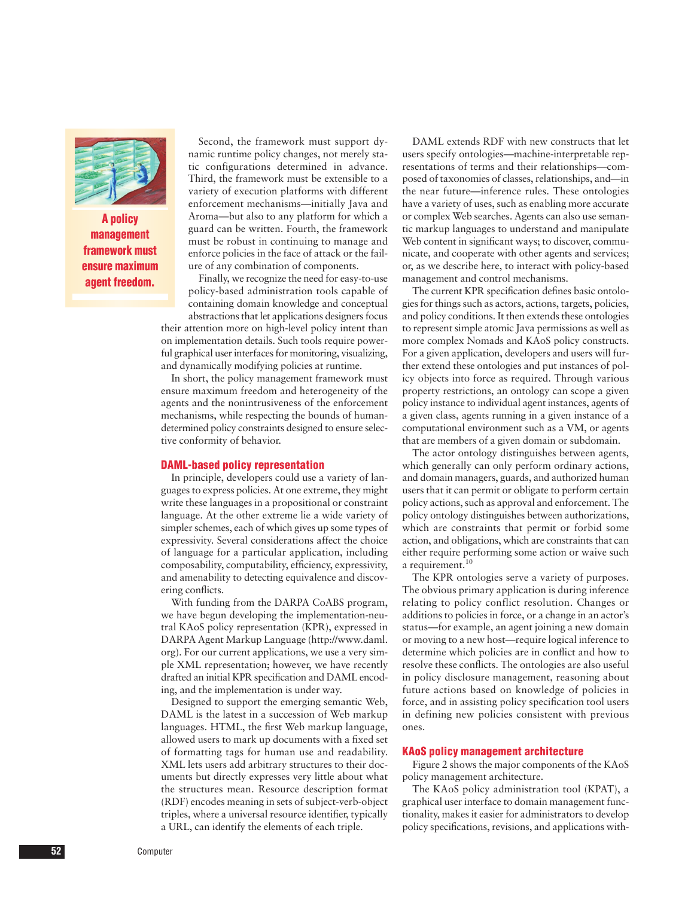

**A policy management framework must ensure maximum agent freedom.**

Second, the framework must support dynamic runtime policy changes, not merely static configurations determined in advance. Third, the framework must be extensible to a variety of execution platforms with different enforcement mechanisms—initially Java and Aroma—but also to any platform for which a guard can be written. Fourth, the framework must be robust in continuing to manage and enforce policies in the face of attack or the failure of any combination of components.

Finally, we recognize the need for easy-to-use policy-based administration tools capable of containing domain knowledge and conceptual abstractions that let applications designers focus

their attention more on high-level policy intent than on implementation details. Such tools require powerful graphical user interfaces for monitoring, visualizing, and dynamically modifying policies at runtime.

In short, the policy management framework must ensure maximum freedom and heterogeneity of the agents and the nonintrusiveness of the enforcement mechanisms, while respecting the bounds of humandetermined policy constraints designed to ensure selective conformity of behavior.

#### **DAML-based policy representation**

In principle, developers could use a variety of languages to express policies. At one extreme, they might write these languages in a propositional or constraint language. At the other extreme lie a wide variety of simpler schemes, each of which gives up some types of expressivity. Several considerations affect the choice of language for a particular application, including composability, computability, efficiency, expressivity, and amenability to detecting equivalence and discovering conflicts.

With funding from the DARPA CoABS program, we have begun developing the implementation-neutral KAoS policy representation (KPR), expressed in DARPA Agent Markup Language (http://www.daml. org). For our current applications, we use a very simple XML representation; however, we have recently drafted an initial KPR specification and DAML encoding, and the implementation is under way.

Designed to support the emerging semantic Web, DAML is the latest in a succession of Web markup languages. HTML, the first Web markup language, allowed users to mark up documents with a fixed set of formatting tags for human use and readability. XML lets users add arbitrary structures to their documents but directly expresses very little about what the structures mean. Resource description format (RDF) encodes meaning in sets of subject-verb-object triples, where a universal resource identifier, typically a URL, can identify the elements of each triple.

DAML extends RDF with new constructs that let users specify ontologies—machine-interpretable representations of terms and their relationships—composed of taxonomies of classes, relationships, and—in the near future—inference rules. These ontologies have a variety of uses, such as enabling more accurate or complex Web searches. Agents can also use semantic markup languages to understand and manipulate Web content in significant ways; to discover, communicate, and cooperate with other agents and services; or, as we describe here, to interact with policy-based management and control mechanisms.

The current KPR specification defines basic ontologies for things such as actors, actions, targets, policies, and policy conditions. It then extends these ontologies to represent simple atomic Java permissions as well as more complex Nomads and KAoS policy constructs. For a given application, developers and users will further extend these ontologies and put instances of policy objects into force as required. Through various property restrictions, an ontology can scope a given policy instance to individual agent instances, agents of a given class, agents running in a given instance of a computational environment such as a VM, or agents that are members of a given domain or subdomain.

The actor ontology distinguishes between agents, which generally can only perform ordinary actions, and domain managers, guards, and authorized human users that it can permit or obligate to perform certain policy actions, such as approval and enforcement. The policy ontology distinguishes between authorizations, which are constraints that permit or forbid some action, and obligations, which are constraints that can either require performing some action or waive such a requirement.<sup>10</sup>

The KPR ontologies serve a variety of purposes. The obvious primary application is during inference relating to policy conflict resolution. Changes or additions to policies in force, or a change in an actor's status—for example, an agent joining a new domain or moving to a new host—require logical inference to determine which policies are in conflict and how to resolve these conflicts. The ontologies are also useful in policy disclosure management, reasoning about future actions based on knowledge of policies in force, and in assisting policy specification tool users in defining new policies consistent with previous ones.

#### **KAoS policy management architecture**

Figure 2 shows the major components of the KAoS policy management architecture.

The KAoS policy administration tool (KPAT), a graphical user interface to domain management functionality, makes it easier for administrators to develop policy specifications, revisions, and applications with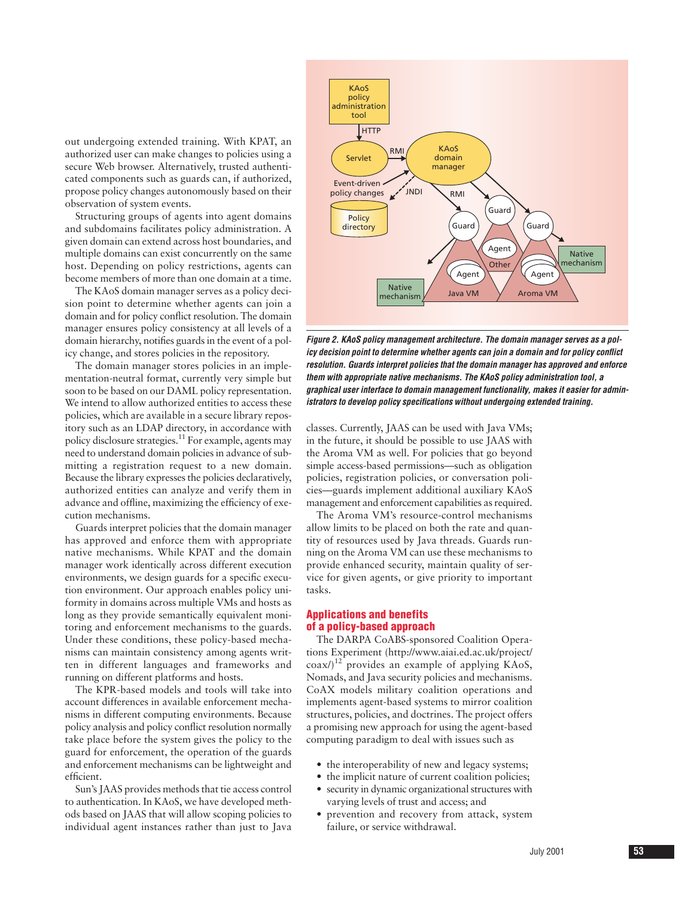out undergoing extended training. With KPAT, an authorized user can make changes to policies using a secure Web browser. Alternatively, trusted authenticated components such as guards can, if authorized, propose policy changes autonomously based on their observation of system events.

Structuring groups of agents into agent domains and subdomains facilitates policy administration. A given domain can extend across host boundaries, and multiple domains can exist concurrently on the same host. Depending on policy restrictions, agents can become members of more than one domain at a time.

The KAoS domain manager serves as a policy decision point to determine whether agents can join a domain and for policy conflict resolution. The domain manager ensures policy consistency at all levels of a domain hierarchy, notifies guards in the event of a policy change, and stores policies in the repository.

The domain manager stores policies in an implementation-neutral format, currently very simple but soon to be based on our DAML policy representation. We intend to allow authorized entities to access these policies, which are available in a secure library repository such as an LDAP directory, in accordance with policy disclosure strategies.<sup>11</sup> For example, agents may need to understand domain policies in advance of submitting a registration request to a new domain. Because the library expresses the policies declaratively, authorized entities can analyze and verify them in advance and offline, maximizing the efficiency of execution mechanisms.

Guards interpret policies that the domain manager has approved and enforce them with appropriate native mechanisms. While KPAT and the domain manager work identically across different execution environments, we design guards for a specific execution environment. Our approach enables policy uniformity in domains across multiple VMs and hosts as long as they provide semantically equivalent monitoring and enforcement mechanisms to the guards. Under these conditions, these policy-based mechanisms can maintain consistency among agents written in different languages and frameworks and running on different platforms and hosts.

The KPR-based models and tools will take into account differences in available enforcement mechanisms in different computing environments. Because policy analysis and policy conflict resolution normally take place before the system gives the policy to the guard for enforcement, the operation of the guards and enforcement mechanisms can be lightweight and efficient.

Sun's JAAS provides methods that tie access control to authentication. In KAoS, we have developed methods based on JAAS that will allow scoping policies to individual agent instances rather than just to Java



*Figure 2. KAoS policy management architecture. The domain manager serves as a policy decision point to determine whether agents can join a domain and for policy conflict resolution. Guards interpret policies that the domain manager has approved and enforce them with appropriate native mechanisms. The KAoS policy administration tool, a graphical user interface to domain management functionality, makes it easier for administrators to develop policy specifications without undergoing extended training.*

classes. Currently, JAAS can be used with Java VMs; in the future, it should be possible to use JAAS with the Aroma VM as well. For policies that go beyond simple access-based permissions—such as obligation policies, registration policies, or conversation policies—guards implement additional auxiliary KAoS management and enforcement capabilities as required.

The Aroma VM's resource-control mechanisms allow limits to be placed on both the rate and quantity of resources used by Java threads. Guards running on the Aroma VM can use these mechanisms to provide enhanced security, maintain quality of service for given agents, or give priority to important tasks.

## **Applications and benefits of a policy-based approach**

The DARPA CoABS-sponsored Coalition Operations Experiment (http://www.aiai.ed.ac.uk/project/  $\frac{\text{coax}}{12}$  provides an example of applying KAoS, Nomads, and Java security policies and mechanisms. CoAX models military coalition operations and implements agent-based systems to mirror coalition structures, policies, and doctrines. The project offers a promising new approach for using the agent-based computing paradigm to deal with issues such as

- the interoperability of new and legacy systems;
- the implicit nature of current coalition policies; • security in dynamic organizational structures with
- varying levels of trust and access; and
- prevention and recovery from attack, system failure, or service withdrawal.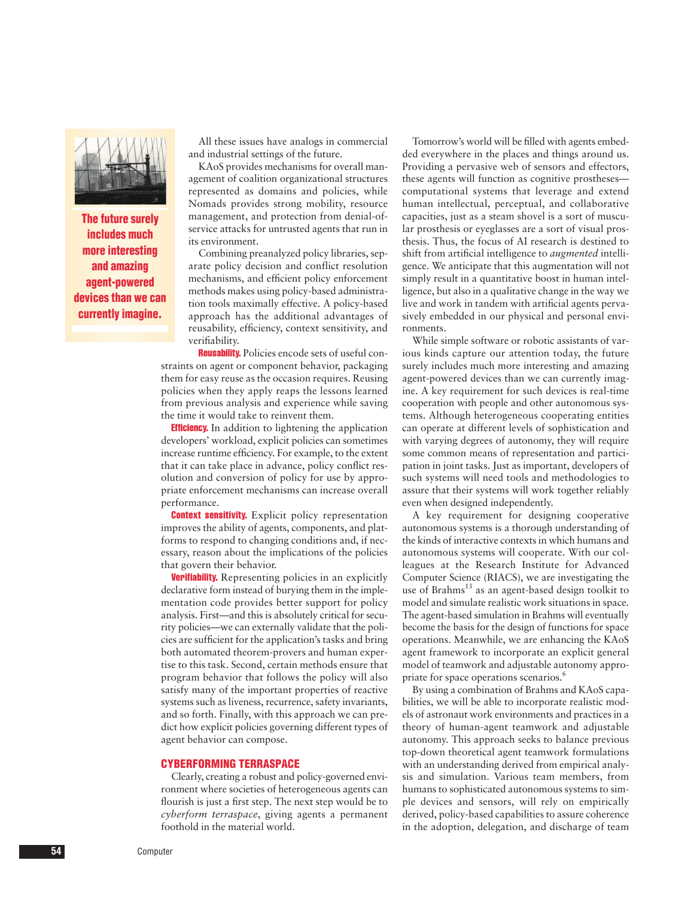

**The future surely includes much more interesting and amazing agent-powered devices than we can currently imagine.**

All these issues have analogs in commercial and industrial settings of the future.

KAoS provides mechanisms for overall management of coalition organizational structures represented as domains and policies, while Nomads provides strong mobility, resource management, and protection from denial-ofservice attacks for untrusted agents that run in its environment.

Combining preanalyzed policy libraries, separate policy decision and conflict resolution mechanisms, and efficient policy enforcement methods makes using policy-based administration tools maximally effective. A policy-based approach has the additional advantages of reusability, efficiency, context sensitivity, and verifiability.

Reusability. Policies encode sets of useful constraints on agent or component behavior, packaging them for easy reuse as the occasion requires. Reusing policies when they apply reaps the lessons learned from previous analysis and experience while saving the time it would take to reinvent them.

**Efficiency.** In addition to lightening the application developers' workload, explicit policies can sometimes increase runtime efficiency. For example, to the extent that it can take place in advance, policy conflict resolution and conversion of policy for use by appropriate enforcement mechanisms can increase overall performance.

**Context sensitivity.** Explicit policy representation improves the ability of agents, components, and platforms to respond to changing conditions and, if necessary, reason about the implications of the policies that govern their behavior.

**Verifiability.** Representing policies in an explicitly declarative form instead of burying them in the implementation code provides better support for policy analysis. First—and this is absolutely critical for security policies—we can externally validate that the policies are sufficient for the application's tasks and bring both automated theorem-provers and human expertise to this task. Second, certain methods ensure that program behavior that follows the policy will also satisfy many of the important properties of reactive systems such as liveness, recurrence, safety invariants, and so forth. Finally, with this approach we can predict how explicit policies governing different types of agent behavior can compose.

#### **CYBERFORMING TERRASPACE**

Clearly, creating a robust and policy-governed environment where societies of heterogeneous agents can flourish is just a first step. The next step would be to *cyberform terraspace*, giving agents a permanent foothold in the material world.

Tomorrow's world will be filled with agents embedded everywhere in the places and things around us. Providing a pervasive web of sensors and effectors, these agents will function as cognitive prostheses computational systems that leverage and extend human intellectual, perceptual, and collaborative capacities, just as a steam shovel is a sort of muscular prosthesis or eyeglasses are a sort of visual prosthesis. Thus, the focus of AI research is destined to shift from artificial intelligence to *augmented* intelligence. We anticipate that this augmentation will not simply result in a quantitative boost in human intelligence, but also in a qualitative change in the way we live and work in tandem with artificial agents pervasively embedded in our physical and personal environments.

While simple software or robotic assistants of various kinds capture our attention today, the future surely includes much more interesting and amazing agent-powered devices than we can currently imagine. A key requirement for such devices is real-time cooperation with people and other autonomous systems. Although heterogeneous cooperating entities can operate at different levels of sophistication and with varying degrees of autonomy, they will require some common means of representation and participation in joint tasks. Just as important, developers of such systems will need tools and methodologies to assure that their systems will work together reliably even when designed independently.

A key requirement for designing cooperative autonomous systems is a thorough understanding of the kinds of interactive contexts in which humans and autonomous systems will cooperate. With our colleagues at the Research Institute for Advanced Computer Science (RIACS), we are investigating the use of Brahms<sup>13</sup> as an agent-based design toolkit to model and simulate realistic work situations in space. The agent-based simulation in Brahms will eventually become the basis for the design of functions for space operations. Meanwhile, we are enhancing the KAoS agent framework to incorporate an explicit general model of teamwork and adjustable autonomy appropriate for space operations scenarios.<sup>6</sup>

By using a combination of Brahms and KAoS capabilities, we will be able to incorporate realistic models of astronaut work environments and practices in a theory of human-agent teamwork and adjustable autonomy. This approach seeks to balance previous top-down theoretical agent teamwork formulations with an understanding derived from empirical analysis and simulation. Various team members, from humans to sophisticated autonomous systems to simple devices and sensors, will rely on empirically derived, policy-based capabilities to assure coherence in the adoption, delegation, and discharge of team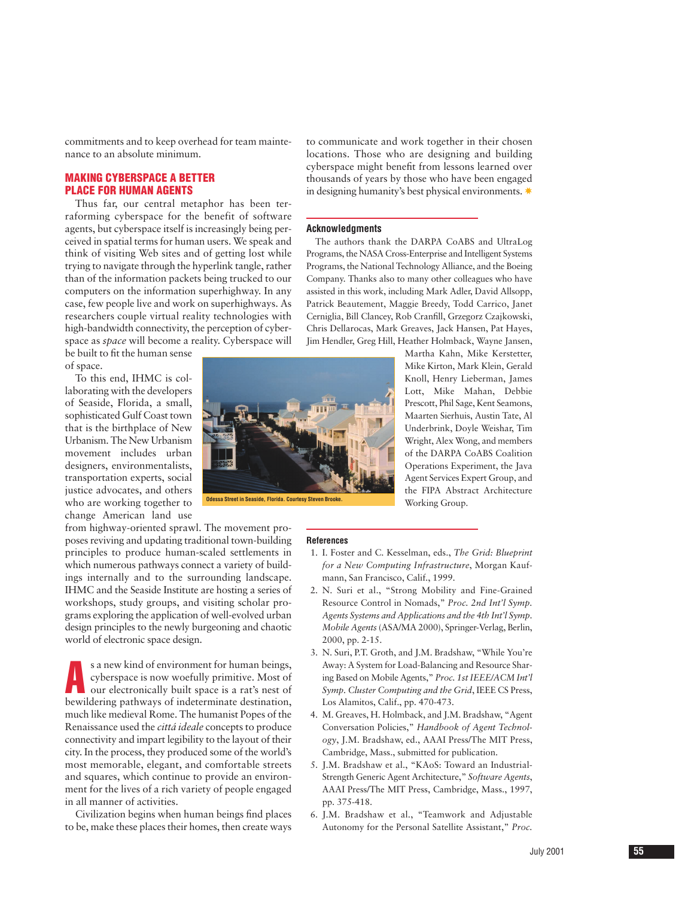commitments and to keep overhead for team maintenance to an absolute minimum.

## **MAKING CYBERSPACE A BETTER PLACE FOR HUMAN AGENTS**

Thus far, our central metaphor has been terraforming cyberspace for the benefit of software agents, but cyberspace itself is increasingly being perceived in spatial terms for human users. We speak and think of visiting Web sites and of getting lost while trying to navigate through the hyperlink tangle, rather than of the information packets being trucked to our computers on the information superhighway. In any case, few people live and work on superhighways. As researchers couple virtual reality technologies with high-bandwidth connectivity, the perception of cyberspace as *space* will become a reality. Cyberspace will

be built to fit the human sense of space.

To this end, IHMC is collaborating with the developers of Seaside, Florida, a small, sophisticated Gulf Coast town that is the birthplace of New Urbanism. The New Urbanism movement includes urban designers, environmentalists, transportation experts, social justice advocates, and others who are working together to change American land use

from highway-oriented sprawl. The movement proposes reviving and updating traditional town-building principles to produce human-scaled settlements in which numerous pathways connect a variety of buildings internally and to the surrounding landscape. IHMC and the Seaside Institute are hosting a series of workshops, study groups, and visiting scholar programs exploring the application of well-evolved urban design principles to the newly burgeoning and chaotic world of electronic space design.

s a new kind of environment for human beings,<br>
cyberspace is now woefully primitive. Most of<br>
our electronically built space is a rat's nest of cyberspace is now woefully primitive. Most of bewildering pathways of indeterminate destination, much like medieval Rome. The humanist Popes of the Renaissance used the *cittá ideale* concepts to produce connectivity and impart legibility to the layout of their city. In the process, they produced some of the world's most memorable, elegant, and comfortable streets and squares, which continue to provide an environment for the lives of a rich variety of people engaged in all manner of activities.

Civilization begins when human beings find places to be, make these places their homes, then create ways

to communicate and work together in their chosen locations. Those who are designing and building cyberspace might benefit from lessons learned over thousands of years by those who have been engaged in designing humanity's best physical environments.  $*$ 

#### **Acknowledgments**

The authors thank the DARPA CoABS and UltraLog Programs, the NASA Cross-Enterprise and Intelligent Systems Programs, the National Technology Alliance, and the Boeing Company. Thanks also to many other colleagues who have assisted in this work, including Mark Adler, David Allsopp, Patrick Beautement, Maggie Breedy, Todd Carrico, Janet Cerniglia, Bill Clancey, Rob Cranfill, Grzegorz Czajkowski, Chris Dellarocas, Mark Greaves, Jack Hansen, Pat Hayes, Jim Hendler, Greg Hill, Heather Holmback, Wayne Jansen,



Martha Kahn, Mike Kerstetter, Mike Kirton, Mark Klein, Gerald Knoll, Henry Lieberman, James Lott, Mike Mahan, Debbie Prescott, Phil Sage, Kent Seamons, Maarten Sierhuis, Austin Tate, Al Underbrink, Doyle Weishar, Tim Wright, Alex Wong, and members of the DARPA CoABS Coalition Operations Experiment, the Java Agent Services Expert Group, and the FIPA Abstract Architecture Working Group.

**References**

- 1. I. Foster and C. Kesselman, eds., *The Grid: Blueprint for a New Computing Infrastructure*, Morgan Kaufmann, San Francisco, Calif., 1999.
- 2. N. Suri et al., "Strong Mobility and Fine-Grained Resource Control in Nomads," *Proc. 2nd Int'l Symp. Agents Systems and Applications and the 4th Int'l Symp. Mobile Agents*(ASA/MA 2000), Springer-Verlag, Berlin, 2000, pp. 2-15.
- 3. N. Suri, P.T. Groth, and J.M. Bradshaw, "While You're Away: A System for Load-Balancing and Resource Sharing Based on Mobile Agents," *Proc. 1st IEEE/ACM Int'l Symp. Cluster Computing and the Grid*, IEEE CS Press, Los Alamitos, Calif., pp. 470-473.
- 4. M. Greaves, H. Holmback, and J.M. Bradshaw, "Agent Conversation Policies," *Handbook of Agent Technology*, J.M. Bradshaw, ed., AAAI Press/The MIT Press, Cambridge, Mass., submitted for publication.
- 5. J.M. Bradshaw et al., "KAoS: Toward an Industrial-Strength Generic Agent Architecture," *Software Agents*, AAAI Press/The MIT Press, Cambridge, Mass., 1997, pp. 375-418.
- 6. J.M. Bradshaw et al., "Teamwork and Adjustable Autonomy for the Personal Satellite Assistant," *Proc.*